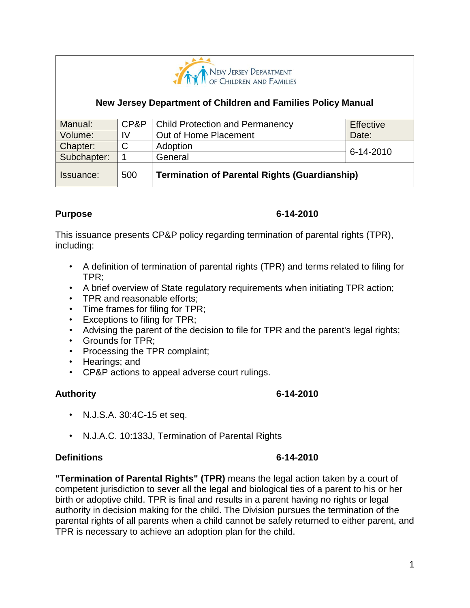

## **New Jersey Department of Children and Families Policy Manual**

| Manual:     | CP&P | <b>Child Protection and Permanency</b>               | Effective |
|-------------|------|------------------------------------------------------|-----------|
| Volume:     | IV   | Out of Home Placement                                | Date:     |
| Chapter:    | С    | Adoption                                             | 6-14-2010 |
| Subchapter: |      | General                                              |           |
| Issuance:   | 500  | <b>Termination of Parental Rights (Guardianship)</b> |           |

### **Purpose 6-14-2010**

This issuance presents CP&P policy regarding termination of parental rights (TPR), including:

- A definition of termination of parental rights (TPR) and terms related to filing for TPR;
- A brief overview of State regulatory requirements when initiating TPR action;
- TPR and reasonable efforts;
- Time frames for filing for TPR;
- Exceptions to filing for TPR;
- Advising the parent of the decision to file for TPR and the parent's legal rights;
- Grounds for TPR;
- Processing the TPR complaint;
- Hearings; and
- CP&P actions to appeal adverse court rulings.

### **Authority 6-14-2010**

- N.J.S.A. 30:4C-15 et seq.
- N.J.A.C. 10:133J, Termination of Parental Rights

## **Definitions 6-14-2010**

## **"Termination of Parental Rights" (TPR)** means the legal action taken by a court of competent jurisdiction to sever all the legal and biological ties of a parent to his or her birth or adoptive child. TPR is final and results in a parent having no rights or legal authority in decision making for the child. The Division pursues the termination of the parental rights of all parents when a child cannot be safely returned to either parent, and TPR is necessary to achieve an adoption plan for the child.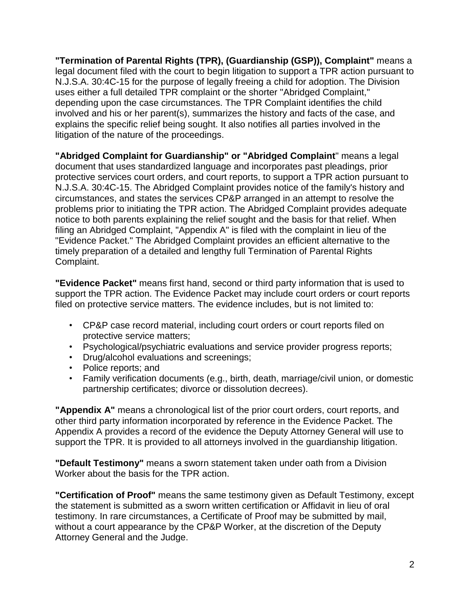**"Termination of Parental Rights (TPR), (Guardianship (GSP)), Complaint"** means a legal document filed with the court to begin litigation to support a TPR action pursuant to N.J.S.A. 30:4C-15 for the purpose of legally freeing a child for adoption. The Division uses either a full detailed TPR complaint or the shorter "Abridged Complaint," depending upon the case circumstances. The TPR Complaint identifies the child involved and his or her parent(s), summarizes the history and facts of the case, and explains the specific relief being sought. It also notifies all parties involved in the litigation of the nature of the proceedings.

**"Abridged Complaint for Guardianship" or "Abridged Complaint**" means a legal document that uses standardized language and incorporates past pleadings, prior protective services court orders, and court reports, to support a TPR action pursuant to N.J.S.A. 30:4C-15. The Abridged Complaint provides notice of the family's history and circumstances, and states the services CP&P arranged in an attempt to resolve the problems prior to initiating the TPR action. The Abridged Complaint provides adequate notice to both parents explaining the relief sought and the basis for that relief. When filing an Abridged Complaint, "Appendix A" is filed with the complaint in lieu of the "Evidence Packet." The Abridged Complaint provides an efficient alternative to the timely preparation of a detailed and lengthy full Termination of Parental Rights Complaint.

**"Evidence Packet"** means first hand, second or third party information that is used to support the TPR action. The Evidence Packet may include court orders or court reports filed on protective service matters. The evidence includes, but is not limited to:

- CP&P case record material, including court orders or court reports filed on protective service matters;
- Psychological/psychiatric evaluations and service provider progress reports;
- Drug/alcohol evaluations and screenings;
- Police reports; and
- Family verification documents (e.g., birth, death, marriage/civil union, or domestic partnership certificates; divorce or dissolution decrees).

**"Appendix A"** means a chronological list of the prior court orders, court reports, and other third party information incorporated by reference in the Evidence Packet. The Appendix A provides a record of the evidence the Deputy Attorney General will use to support the TPR. It is provided to all attorneys involved in the guardianship litigation.

**"Default Testimony"** means a sworn statement taken under oath from a Division Worker about the basis for the TPR action.

**"Certification of Proof"** means the same testimony given as Default Testimony, except the statement is submitted as a sworn written certification or Affidavit in lieu of oral testimony. In rare circumstances, a Certificate of Proof may be submitted by mail, without a court appearance by the CP&P Worker, at the discretion of the Deputy Attorney General and the Judge.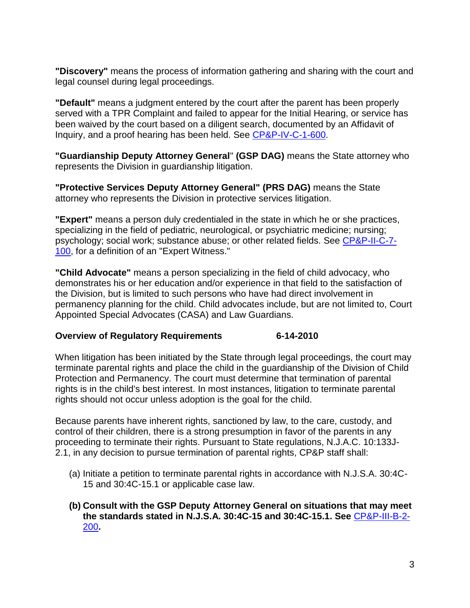**"Discovery"** means the process of information gathering and sharing with the court and legal counsel during legal proceedings.

**"Default"** means a judgment entered by the court after the parent has been properly served with a TPR Complaint and failed to appear for the Initial Hearing, or service has been waived by the court based on a diligent search, documented by an Affidavit of Inquiry, and a proof hearing has been held. See [CP&P-IV-C-1-600.](CPP-IV-C-1-600_issuance.shtml)

**"Guardianship Deputy Attorney General**" **(GSP DAG)** means the State attorney who represents the Division in guardianship litigation.

**"Protective Services Deputy Attorney General" (PRS DAG)** means the State attorney who represents the Division in protective services litigation.

**"Expert"** means a person duly credentialed in the state in which he or she practices, specializing in the field of pediatric, neurological, or psychiatric medicine; nursing; psychology; social work; substance abuse; or other related fields. See [CP&P-II-C-7-](CPP-II-C-7-100_issuance.shtml) [100,](CPP-II-C-7-100_issuance.shtml) for a definition of an "Expert Witness."

**"Child Advocate"** means a person specializing in the field of child advocacy, who demonstrates his or her education and/or experience in that field to the satisfaction of the Division, but is limited to such persons who have had direct involvement in permanency planning for the child. Child advocates include, but are not limited to, Court Appointed Special Advocates (CASA) and Law Guardians.

### **Overview of Regulatory Requirements 6-14-2010**

When litigation has been initiated by the State through legal proceedings, the court may terminate parental rights and place the child in the guardianship of the Division of Child Protection and Permanency. The court must determine that termination of parental rights is in the child's best interest. In most instances, litigation to terminate parental rights should not occur unless adoption is the goal for the child.

Because parents have inherent rights, sanctioned by law, to the care, custody, and control of their children, there is a strong presumption in favor of the parents in any proceeding to terminate their rights. Pursuant to State regulations, N.J.A.C. 10:133J-2.1, in any decision to pursue termination of parental rights, CP&P staff shall:

- (a) Initiate a petition to terminate parental rights in accordance with N.J.S.A. 30:4C-15 and 30:4C-15.1 or applicable case law.
- **(b) Consult with the GSP Deputy Attorney General on situations that may meet the standards stated in N.J.S.A. 30:4C-15 and 30:4C-15.1. See** [CP&P-III-B-2-](CPP-III-B-2-200_issuance.shtml) [200](CPP-III-B-2-200_issuance.shtml)**.**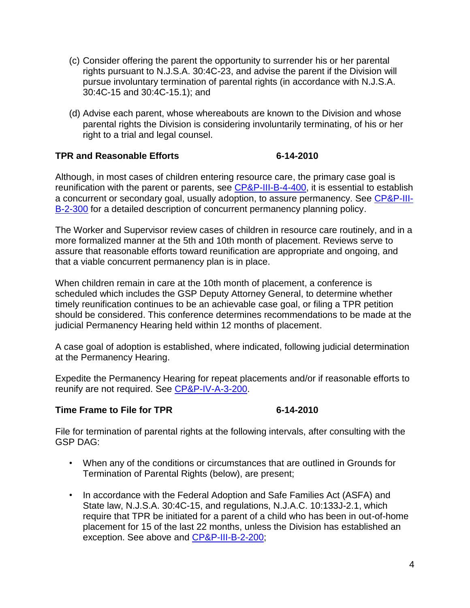- (c) Consider offering the parent the opportunity to surrender his or her parental rights pursuant to N.J.S.A. 30:4C-23, and advise the parent if the Division will pursue involuntary termination of parental rights (in accordance with N.J.S.A. 30:4C-15 and 30:4C-15.1); and
- (d) Advise each parent, whose whereabouts are known to the Division and whose parental rights the Division is considering involuntarily terminating, of his or her right to a trial and legal counsel.

## **TPR and Reasonable Efforts 6-14-2010**

Although, in most cases of children entering resource care, the primary case goal is reunification with the parent or parents, see [CP&P-III-B-4-400,](CPP-III-B-4-400_issuance.shtml) it is essential to establish a concurrent or secondary goal, usually adoption, to assure permanency. See [CP&P-III-](CPP-III-B-2-300_issuance.shtml)[B-2-300](CPP-III-B-2-300_issuance.shtml) for a detailed description of concurrent permanency planning policy.

The Worker and Supervisor review cases of children in resource care routinely, and in a more formalized manner at the 5th and 10th month of placement. Reviews serve to assure that reasonable efforts toward reunification are appropriate and ongoing, and that a viable concurrent permanency plan is in place.

When children remain in care at the 10th month of placement, a conference is scheduled which includes the GSP Deputy Attorney General, to determine whether timely reunification continues to be an achievable case goal, or filing a TPR petition should be considered. This conference determines recommendations to be made at the judicial Permanency Hearing held within 12 months of placement.

A case goal of adoption is established, where indicated, following judicial determination at the Permanency Hearing.

Expedite the Permanency Hearing for repeat placements and/or if reasonable efforts to reunify are not required. See [CP&P-IV-A-3-200.](CPP-IV-A-3-200_issuance.shtml)

### **Time Frame to File for TPR 6-14-2010**

File for termination of parental rights at the following intervals, after consulting with the GSP DAG:

- When any of the conditions or circumstances that are outlined in Grounds for Termination of Parental Rights (below), are present;
- In accordance with the Federal Adoption and Safe Families Act (ASFA) and State law, N.J.S.A. 30:4C-15, and regulations, N.J.A.C. 10:133J-2.1, which require that TPR be initiated for a parent of a child who has been in out-of-home placement for 15 of the last 22 months, unless the Division has established an exception. See above and [CP&P-III-B-2-200;](CPP-III-B-2-200_issuance.shtml)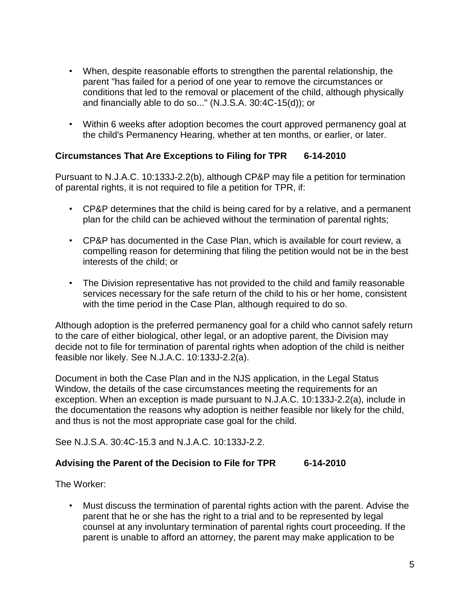- When, despite reasonable efforts to strengthen the parental relationship, the parent "has failed for a period of one year to remove the circumstances or conditions that led to the removal or placement of the child, although physically and financially able to do so..." (N.J.S.A. 30:4C-15(d)); or
- Within 6 weeks after adoption becomes the court approved permanency goal at the child's Permanency Hearing, whether at ten months, or earlier, or later.

## **Circumstances That Are Exceptions to Filing for TPR 6-14-2010**

Pursuant to N.J.A.C. 10:133J-2.2(b), although CP&P may file a petition for termination of parental rights, it is not required to file a petition for TPR, if:

- CP&P determines that the child is being cared for by a relative, and a permanent plan for the child can be achieved without the termination of parental rights;
- CP&P has documented in the Case Plan, which is available for court review, a compelling reason for determining that filing the petition would not be in the best interests of the child; or
- The Division representative has not provided to the child and family reasonable services necessary for the safe return of the child to his or her home, consistent with the time period in the Case Plan, although required to do so.

Although adoption is the preferred permanency goal for a child who cannot safely return to the care of either biological, other legal, or an adoptive parent, the Division may decide not to file for termination of parental rights when adoption of the child is neither feasible nor likely. See N.J.A.C. 10:133J-2.2(a).

Document in both the Case Plan and in the NJS application, in the Legal Status Window, the details of the case circumstances meeting the requirements for an exception. When an exception is made pursuant to N.J.A.C. 10:133J-2.2(a), include in the documentation the reasons why adoption is neither feasible nor likely for the child, and thus is not the most appropriate case goal for the child.

See N.J.S.A. 30:4C-15.3 and N.J.A.C. 10:133J-2.2.

### **Advising the Parent of the Decision to File for TPR 6-14-2010**

The Worker:

• Must discuss the termination of parental rights action with the parent. Advise the parent that he or she has the right to a trial and to be represented by legal counsel at any involuntary termination of parental rights court proceeding. If the parent is unable to afford an attorney, the parent may make application to be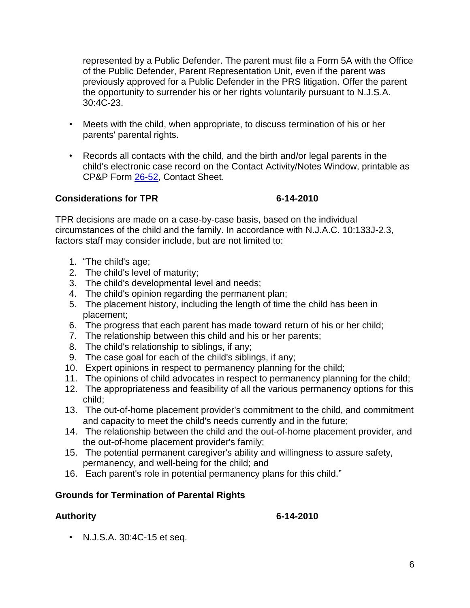represented by a Public Defender. The parent must file a Form 5A with the Office of the Public Defender, Parent Representation Unit, even if the parent was previously approved for a Public Defender in the PRS litigation. Offer the parent the opportunity to surrender his or her rights voluntarily pursuant to N.J.S.A. 30:4C-23.

- Meets with the child, when appropriate, to discuss termination of his or her parents' parental rights.
- Records all contacts with the child, and the birth and/or legal parents in the child's electronic case record on the Contact Activity/Notes Window, printable as CP&P Form [26-52,](CPP-X-A-1-26.52) Contact Sheet.

## **Considerations for TPR 6-14-2010**

TPR decisions are made on a case-by-case basis, based on the individual circumstances of the child and the family. In accordance with N.J.A.C. 10:133J-2.3, factors staff may consider include, but are not limited to:

- 1. "The child's age;
- 2. The child's level of maturity;
- 3. The child's developmental level and needs;
- 4. The child's opinion regarding the permanent plan;
- 5. The placement history, including the length of time the child has been in placement;
- 6. The progress that each parent has made toward return of his or her child;
- 7. The relationship between this child and his or her parents;
- 8. The child's relationship to siblings, if any;
- 9. The case goal for each of the child's siblings, if any;
- 10. Expert opinions in respect to permanency planning for the child;
- 11. The opinions of child advocates in respect to permanency planning for the child;
- 12. The appropriateness and feasibility of all the various permanency options for this child;
- 13. The out-of-home placement provider's commitment to the child, and commitment and capacity to meet the child's needs currently and in the future;
- 14. The relationship between the child and the out-of-home placement provider, and the out-of-home placement provider's family;
- 15. The potential permanent caregiver's ability and willingness to assure safety, permanency, and well-being for the child; and
- 16. Each parent's role in potential permanency plans for this child."

## **Grounds for Termination of Parental Rights**

**Authority 6-14-2010**

• N.J.S.A. 30:4C-15 et seq.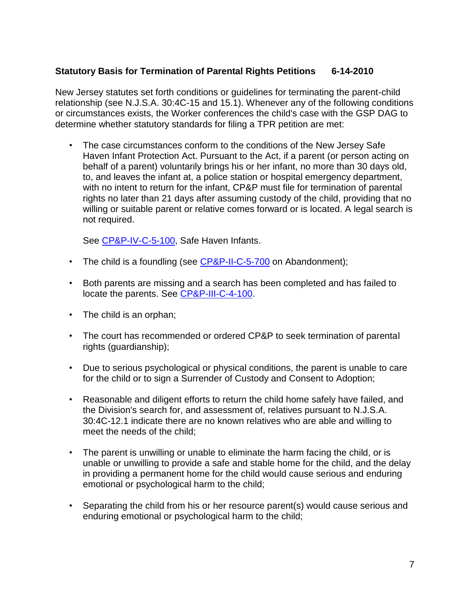## **Statutory Basis for Termination of Parental Rights Petitions 6-14-2010**

New Jersey statutes set forth conditions or guidelines for terminating the parent-child relationship (see N.J.S.A. 30:4C-15 and 15.1). Whenever any of the following conditions or circumstances exists, the Worker conferences the child's case with the GSP DAG to determine whether statutory standards for filing a TPR petition are met:

• The case circumstances conform to the conditions of the New Jersey Safe Haven Infant Protection Act. Pursuant to the Act, if a parent (or person acting on behalf of a parent) voluntarily brings his or her infant, no more than 30 days old, to, and leaves the infant at, a police station or hospital emergency department, with no intent to return for the infant, CP&P must file for termination of parental rights no later than 21 days after assuming custody of the child, providing that no willing or suitable parent or relative comes forward or is located. A legal search is not required.

See [CP&P-IV-C-5-100,](CPP-IV-C-5-100_issuance.shtml) Safe Haven Infants.

- The child is a foundling (see [CP&P-II-C-5-700](CPP-II-C-5-700_issuance.shtml) on Abandonment);
- Both parents are missing and a search has been completed and has failed to locate the parents. See [CP&P-III-C-4-100.](CPP-III-C-4-100_issuance.shtml)
- The child is an orphan;
- The court has recommended or ordered CP&P to seek termination of parental rights (guardianship);
- Due to serious psychological or physical conditions, the parent is unable to care for the child or to sign a Surrender of Custody and Consent to Adoption;
- Reasonable and diligent efforts to return the child home safely have failed, and the Division's search for, and assessment of, relatives pursuant to N.J.S.A. 30:4C-12.1 indicate there are no known relatives who are able and willing to meet the needs of the child;
- The parent is unwilling or unable to eliminate the harm facing the child, or is unable or unwilling to provide a safe and stable home for the child, and the delay in providing a permanent home for the child would cause serious and enduring emotional or psychological harm to the child;
- Separating the child from his or her resource parent(s) would cause serious and enduring emotional or psychological harm to the child;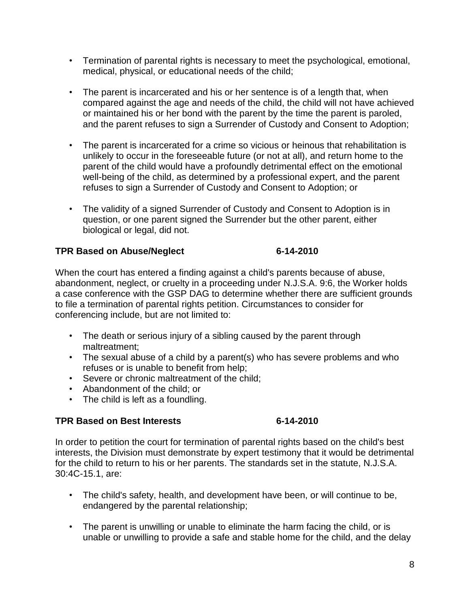- Termination of parental rights is necessary to meet the psychological, emotional, medical, physical, or educational needs of the child;
- The parent is incarcerated and his or her sentence is of a length that, when compared against the age and needs of the child, the child will not have achieved or maintained his or her bond with the parent by the time the parent is paroled, and the parent refuses to sign a Surrender of Custody and Consent to Adoption;
- The parent is incarcerated for a crime so vicious or heinous that rehabilitation is unlikely to occur in the foreseeable future (or not at all), and return home to the parent of the child would have a profoundly detrimental effect on the emotional well-being of the child, as determined by a professional expert, and the parent refuses to sign a Surrender of Custody and Consent to Adoption; or
- The validity of a signed Surrender of Custody and Consent to Adoption is in question, or one parent signed the Surrender but the other parent, either biological or legal, did not.

## **TPR Based on Abuse/Neglect 6-14-2010**

When the court has entered a finding against a child's parents because of abuse, abandonment, neglect, or cruelty in a proceeding under N.J.S.A. 9:6, the Worker holds a case conference with the GSP DAG to determine whether there are sufficient grounds to file a termination of parental rights petition. Circumstances to consider for conferencing include, but are not limited to:

- The death or serious injury of a sibling caused by the parent through maltreatment;
- The sexual abuse of a child by a parent(s) who has severe problems and who refuses or is unable to benefit from help;
- Severe or chronic maltreatment of the child;
- Abandonment of the child; or
- The child is left as a foundling.

## **TPR Based on Best Interests 6-14-2010**

In order to petition the court for termination of parental rights based on the child's best interests, the Division must demonstrate by expert testimony that it would be detrimental for the child to return to his or her parents. The standards set in the statute, N.J.S.A. 30:4C-15.1, are:

- The child's safety, health, and development have been, or will continue to be, endangered by the parental relationship;
- The parent is unwilling or unable to eliminate the harm facing the child, or is unable or unwilling to provide a safe and stable home for the child, and the delay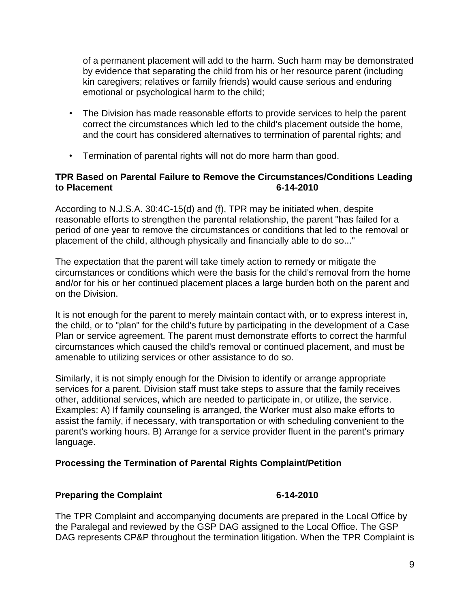of a permanent placement will add to the harm. Such harm may be demonstrated by evidence that separating the child from his or her resource parent (including kin caregivers; relatives or family friends) would cause serious and enduring emotional or psychological harm to the child;

- The Division has made reasonable efforts to provide services to help the parent correct the circumstances which led to the child's placement outside the home, and the court has considered alternatives to termination of parental rights; and
- Termination of parental rights will not do more harm than good.

## **TPR Based on Parental Failure to Remove the Circumstances/Conditions Leading to Placement 6-14-2010**

According to N.J.S.A. 30:4C-15(d) and (f), TPR may be initiated when, despite reasonable efforts to strengthen the parental relationship, the parent "has failed for a period of one year to remove the circumstances or conditions that led to the removal or placement of the child, although physically and financially able to do so..."

The expectation that the parent will take timely action to remedy or mitigate the circumstances or conditions which were the basis for the child's removal from the home and/or for his or her continued placement places a large burden both on the parent and on the Division.

It is not enough for the parent to merely maintain contact with, or to express interest in, the child, or to "plan" for the child's future by participating in the development of a Case Plan or service agreement. The parent must demonstrate efforts to correct the harmful circumstances which caused the child's removal or continued placement, and must be amenable to utilizing services or other assistance to do so.

Similarly, it is not simply enough for the Division to identify or arrange appropriate services for a parent. Division staff must take steps to assure that the family receives other, additional services, which are needed to participate in, or utilize, the service. Examples: A) If family counseling is arranged, the Worker must also make efforts to assist the family, if necessary, with transportation or with scheduling convenient to the parent's working hours. B) Arrange for a service provider fluent in the parent's primary language.

## **Processing the Termination of Parental Rights Complaint/Petition**

### **Preparing the Complaint 6-14-2010**

The TPR Complaint and accompanying documents are prepared in the Local Office by the Paralegal and reviewed by the GSP DAG assigned to the Local Office. The GSP DAG represents CP&P throughout the termination litigation. When the TPR Complaint is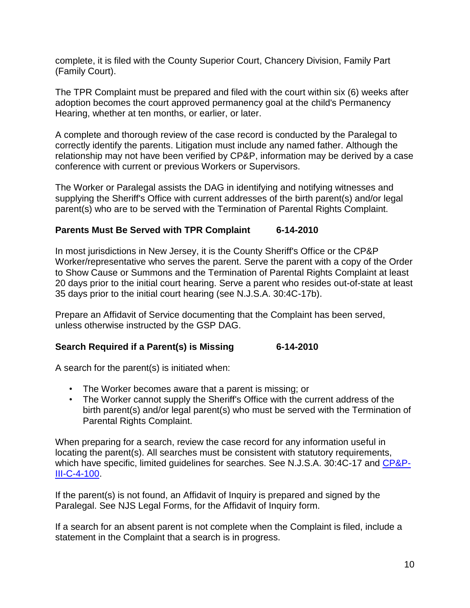complete, it is filed with the County Superior Court, Chancery Division, Family Part (Family Court).

The TPR Complaint must be prepared and filed with the court within six (6) weeks after adoption becomes the court approved permanency goal at the child's Permanency Hearing, whether at ten months, or earlier, or later.

A complete and thorough review of the case record is conducted by the Paralegal to correctly identify the parents. Litigation must include any named father. Although the relationship may not have been verified by CP&P, information may be derived by a case conference with current or previous Workers or Supervisors.

The Worker or Paralegal assists the DAG in identifying and notifying witnesses and supplying the Sheriff's Office with current addresses of the birth parent(s) and/or legal parent(s) who are to be served with the Termination of Parental Rights Complaint.

# **Parents Must Be Served with TPR Complaint 6-14-2010**

In most jurisdictions in New Jersey, it is the County Sheriff's Office or the CP&P Worker/representative who serves the parent. Serve the parent with a copy of the Order to Show Cause or Summons and the Termination of Parental Rights Complaint at least 20 days prior to the initial court hearing. Serve a parent who resides out-of-state at least 35 days prior to the initial court hearing (see N.J.S.A. 30:4C-17b).

Prepare an Affidavit of Service documenting that the Complaint has been served, unless otherwise instructed by the GSP DAG.

## **Search Required if a Parent(s) is Missing 6-14-2010**

A search for the parent(s) is initiated when:

- The Worker becomes aware that a parent is missing; or
- The Worker cannot supply the Sheriff's Office with the current address of the birth parent(s) and/or legal parent(s) who must be served with the Termination of Parental Rights Complaint.

When preparing for a search, review the case record for any information useful in locating the parent(s). All searches must be consistent with statutory requirements, which have specific, limited guidelines for searches. See N.J.S.A. 30:4C-17 and [CP&P-](CPP-III-C-4-100_issuance.shtml)[III-C-4-100.](CPP-III-C-4-100_issuance.shtml)

If the parent(s) is not found, an Affidavit of Inquiry is prepared and signed by the Paralegal. See NJS Legal Forms, for the Affidavit of Inquiry form.

If a search for an absent parent is not complete when the Complaint is filed, include a statement in the Complaint that a search is in progress.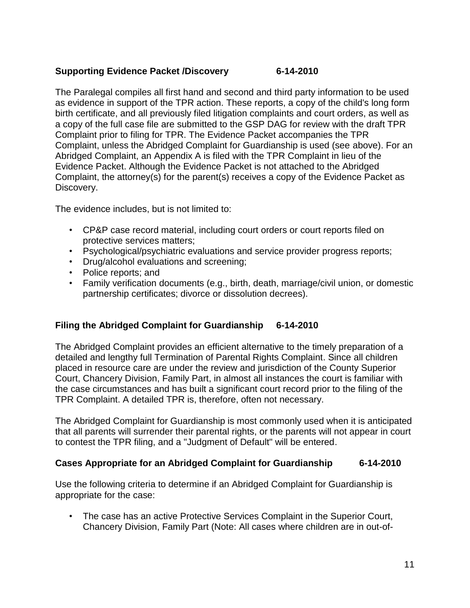## **Supporting Evidence Packet /Discovery 6-14-2010**

The Paralegal compiles all first hand and second and third party information to be used as evidence in support of the TPR action. These reports, a copy of the child's long form birth certificate, and all previously filed litigation complaints and court orders, as well as a copy of the full case file are submitted to the GSP DAG for review with the draft TPR Complaint prior to filing for TPR. The Evidence Packet accompanies the TPR Complaint, unless the Abridged Complaint for Guardianship is used (see above). For an Abridged Complaint, an Appendix A is filed with the TPR Complaint in lieu of the Evidence Packet. Although the Evidence Packet is not attached to the Abridged Complaint, the attorney(s) for the parent(s) receives a copy of the Evidence Packet as Discovery.

The evidence includes, but is not limited to:

- CP&P case record material, including court orders or court reports filed on protective services matters;
- Psychological/psychiatric evaluations and service provider progress reports;
- Drug/alcohol evaluations and screening;
- Police reports; and
- Family verification documents (e.g., birth, death, marriage/civil union, or domestic partnership certificates; divorce or dissolution decrees).

## **Filing the Abridged Complaint for Guardianship 6-14-2010**

The Abridged Complaint provides an efficient alternative to the timely preparation of a detailed and lengthy full Termination of Parental Rights Complaint. Since all children placed in resource care are under the review and jurisdiction of the County Superior Court, Chancery Division, Family Part, in almost all instances the court is familiar with the case circumstances and has built a significant court record prior to the filing of the TPR Complaint. A detailed TPR is, therefore, often not necessary.

The Abridged Complaint for Guardianship is most commonly used when it is anticipated that all parents will surrender their parental rights, or the parents will not appear in court to contest the TPR filing, and a "Judgment of Default" will be entered.

### **Cases Appropriate for an Abridged Complaint for Guardianship 6-14-2010**

Use the following criteria to determine if an Abridged Complaint for Guardianship is appropriate for the case:

• The case has an active Protective Services Complaint in the Superior Court, Chancery Division, Family Part (Note: All cases where children are in out-of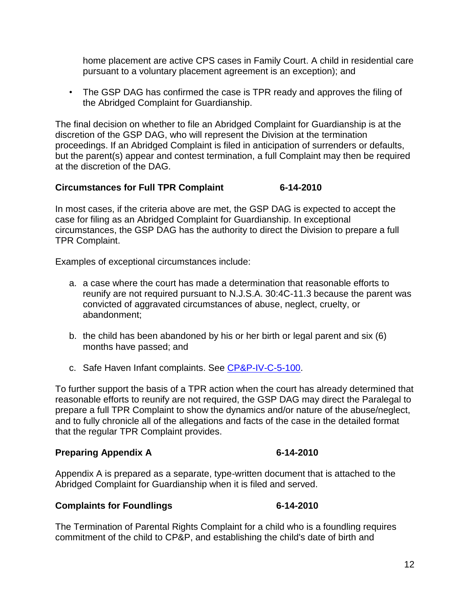home placement are active CPS cases in Family Court. A child in residential care pursuant to a voluntary placement agreement is an exception); and

• The GSP DAG has confirmed the case is TPR ready and approves the filing of the Abridged Complaint for Guardianship.

The final decision on whether to file an Abridged Complaint for Guardianship is at the discretion of the GSP DAG, who will represent the Division at the termination proceedings. If an Abridged Complaint is filed in anticipation of surrenders or defaults, but the parent(s) appear and contest termination, a full Complaint may then be required at the discretion of the DAG.

## **Circumstances for Full TPR Complaint 6-14-2010**

In most cases, if the criteria above are met, the GSP DAG is expected to accept the case for filing as an Abridged Complaint for Guardianship. In exceptional circumstances, the GSP DAG has the authority to direct the Division to prepare a full TPR Complaint.

Examples of exceptional circumstances include:

- a. a case where the court has made a determination that reasonable efforts to reunify are not required pursuant to N.J.S.A. 30:4C-11.3 because the parent was convicted of aggravated circumstances of abuse, neglect, cruelty, or abandonment;
- b. the child has been abandoned by his or her birth or legal parent and six (6) months have passed; and
- c. Safe Haven Infant complaints. See [CP&P-IV-C-5-100.](CPP-IV-C-5-100_issuance.shtml)

To further support the basis of a TPR action when the court has already determined that reasonable efforts to reunify are not required, the GSP DAG may direct the Paralegal to prepare a full TPR Complaint to show the dynamics and/or nature of the abuse/neglect, and to fully chronicle all of the allegations and facts of the case in the detailed format that the regular TPR Complaint provides.

### **Preparing Appendix A 6-14-2010**

Appendix A is prepared as a separate, type-written document that is attached to the Abridged Complaint for Guardianship when it is filed and served.

### **Complaints for Foundlings 6-14-2010**

The Termination of Parental Rights Complaint for a child who is a foundling requires commitment of the child to CP&P, and establishing the child's date of birth and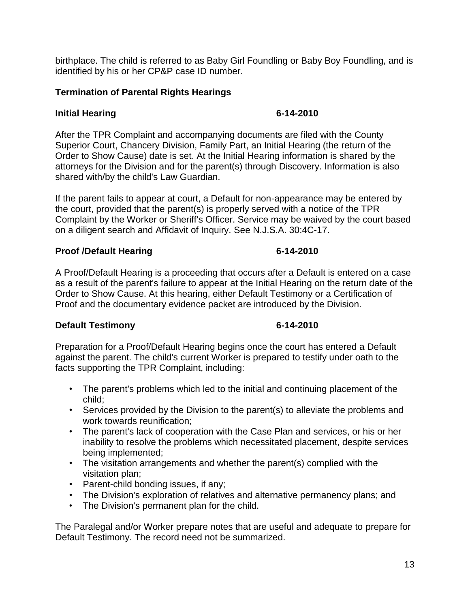birthplace. The child is referred to as Baby Girl Foundling or Baby Boy Foundling, and is identified by his or her CP&P case ID number.

### **Termination of Parental Rights Hearings**

### **Initial Hearing 6-14-2010**

After the TPR Complaint and accompanying documents are filed with the County Superior Court, Chancery Division, Family Part, an Initial Hearing (the return of the Order to Show Cause) date is set. At the Initial Hearing information is shared by the attorneys for the Division and for the parent(s) through Discovery. Information is also shared with/by the child's Law Guardian.

If the parent fails to appear at court, a Default for non-appearance may be entered by the court, provided that the parent(s) is properly served with a notice of the TPR Complaint by the Worker or Sheriff's Officer. Service may be waived by the court based on a diligent search and Affidavit of Inquiry. See N.J.S.A. 30:4C-17.

### **Proof /Default Hearing 6-14-2010**

A Proof/Default Hearing is a proceeding that occurs after a Default is entered on a case as a result of the parent's failure to appear at the Initial Hearing on the return date of the Order to Show Cause. At this hearing, either Default Testimony or a Certification of Proof and the documentary evidence packet are introduced by the Division.

### **Default Testimony 6-14-2010**

Preparation for a Proof/Default Hearing begins once the court has entered a Default against the parent. The child's current Worker is prepared to testify under oath to the facts supporting the TPR Complaint, including:

- The parent's problems which led to the initial and continuing placement of the child;
- Services provided by the Division to the parent(s) to alleviate the problems and work towards reunification;
- The parent's lack of cooperation with the Case Plan and services, or his or her inability to resolve the problems which necessitated placement, despite services being implemented;
- The visitation arrangements and whether the parent(s) complied with the visitation plan;
- Parent-child bonding issues, if any;
- The Division's exploration of relatives and alternative permanency plans; and
- The Division's permanent plan for the child.

The Paralegal and/or Worker prepare notes that are useful and adequate to prepare for Default Testimony. The record need not be summarized.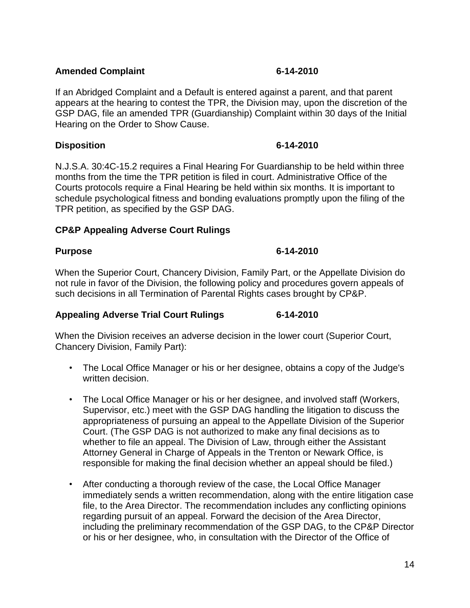## **Amended Complaint 6-14-2010**

If an Abridged Complaint and a Default is entered against a parent, and that parent appears at the hearing to contest the TPR, the Division may, upon the discretion of the GSP DAG, file an amended TPR (Guardianship) Complaint within 30 days of the Initial Hearing on the Order to Show Cause.

# **Disposition 6-14-2010**

N.J.S.A. 30:4C-15.2 requires a Final Hearing For Guardianship to be held within three months from the time the TPR petition is filed in court. Administrative Office of the Courts protocols require a Final Hearing be held within six months. It is important to schedule psychological fitness and bonding evaluations promptly upon the filing of the TPR petition, as specified by the GSP DAG.

# **CP&P Appealing Adverse Court Rulings**

# **Purpose 6-14-2010**

When the Superior Court, Chancery Division, Family Part, or the Appellate Division do not rule in favor of the Division, the following policy and procedures govern appeals of such decisions in all Termination of Parental Rights cases brought by CP&P.

## **Appealing Adverse Trial Court Rulings 6-14-2010**

When the Division receives an adverse decision in the lower court (Superior Court, Chancery Division, Family Part):

- The Local Office Manager or his or her designee, obtains a copy of the Judge's written decision.
- The Local Office Manager or his or her designee, and involved staff (Workers, Supervisor, etc.) meet with the GSP DAG handling the litigation to discuss the appropriateness of pursuing an appeal to the Appellate Division of the Superior Court. (The GSP DAG is not authorized to make any final decisions as to whether to file an appeal. The Division of Law, through either the Assistant Attorney General in Charge of Appeals in the Trenton or Newark Office, is responsible for making the final decision whether an appeal should be filed.)
- After conducting a thorough review of the case, the Local Office Manager immediately sends a written recommendation, along with the entire litigation case file, to the Area Director. The recommendation includes any conflicting opinions regarding pursuit of an appeal. Forward the decision of the Area Director, including the preliminary recommendation of the GSP DAG, to the CP&P Director or his or her designee, who, in consultation with the Director of the Office of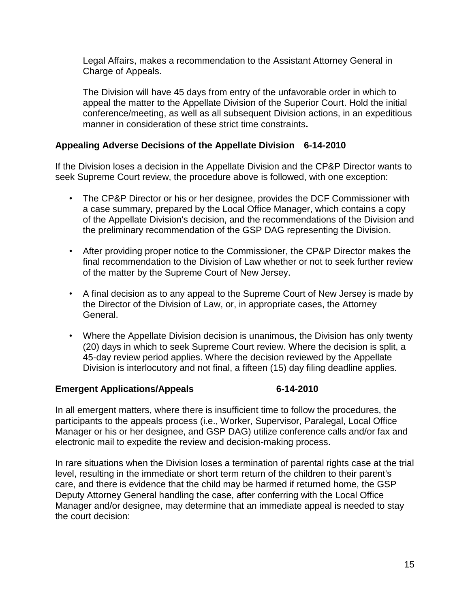Legal Affairs, makes a recommendation to the Assistant Attorney General in Charge of Appeals.

The Division will have 45 days from entry of the unfavorable order in which to appeal the matter to the Appellate Division of the Superior Court. Hold the initial conference/meeting, as well as all subsequent Division actions, in an expeditious manner in consideration of these strict time constraints**.**

## **Appealing Adverse Decisions of the Appellate Division 6-14-2010**

If the Division loses a decision in the Appellate Division and the CP&P Director wants to seek Supreme Court review, the procedure above is followed, with one exception:

- The CP&P Director or his or her designee, provides the DCF Commissioner with a case summary, prepared by the Local Office Manager, which contains a copy of the Appellate Division's decision, and the recommendations of the Division and the preliminary recommendation of the GSP DAG representing the Division.
- After providing proper notice to the Commissioner, the CP&P Director makes the final recommendation to the Division of Law whether or not to seek further review of the matter by the Supreme Court of New Jersey.
- A final decision as to any appeal to the Supreme Court of New Jersey is made by the Director of the Division of Law, or, in appropriate cases, the Attorney General.
- Where the Appellate Division decision is unanimous, the Division has only twenty (20) days in which to seek Supreme Court review. Where the decision is split, a 45-day review period applies. Where the decision reviewed by the Appellate Division is interlocutory and not final, a fifteen (15) day filing deadline applies.

### **Emergent Applications/Appeals 6-14-2010**

In all emergent matters, where there is insufficient time to follow the procedures, the participants to the appeals process (i.e., Worker, Supervisor, Paralegal, Local Office Manager or his or her designee, and GSP DAG) utilize conference calls and/or fax and electronic mail to expedite the review and decision-making process.

In rare situations when the Division loses a termination of parental rights case at the trial level, resulting in the immediate or short term return of the children to their parent's care, and there is evidence that the child may be harmed if returned home, the GSP Deputy Attorney General handling the case, after conferring with the Local Office Manager and/or designee, may determine that an immediate appeal is needed to stay the court decision: